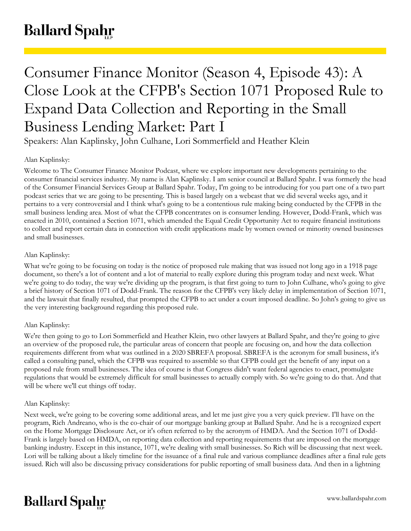# **Ballard Spahr**

## Consumer Finance Monitor (Season 4, Episode 43): A Close Look at the CFPB's Section 1071 Proposed Rule to Expand Data Collection and Reporting in the Small Business Lending Market: Part I

Speakers: Alan Kaplinsky, John Culhane, Lori Sommerfield and Heather Klein

## Alan Kaplinsky:

Welcome to The Consumer Finance Monitor Podcast, where we explore important new developments pertaining to the consumer financial services industry. My name is Alan Kaplinsky. I am senior council at Ballard Spahr. I was formerly the head of the Consumer Financial Services Group at Ballard Spahr. Today, I'm going to be introducing for you part one of a two part podcast series that we are going to be presenting. This is based largely on a webcast that we did several weeks ago, and it pertains to a very controversial and I think what's going to be a contentious rule making being conducted by the CFPB in the small business lending area. Most of what the CFPB concentrates on is consumer lending. However, Dodd-Frank, which was enacted in 2010, contained a Section 1071, which amended the Equal Credit Opportunity Act to require financial institutions to collect and report certain data in connection with credit applications made by women owned or minority owned businesses and small businesses.

## Alan Kaplinsky:

What we're going to be focusing on today is the notice of proposed rule making that was issued not long ago in a 1918 page document, so there's a lot of content and a lot of material to really explore during this program today and next week. What we're going to do today, the way we're dividing up the program, is that first going to turn to John Culhane, who's going to give a brief history of Section 1071 of Dodd-Frank. The reason for the CFPB's very likely delay in implementation of Section 1071, and the lawsuit that finally resulted, that prompted the CFPB to act under a court imposed deadline. So John's going to give us the very interesting background regarding this proposed rule.

## Alan Kaplinsky:

We're then going to go to Lori Sommerfield and Heather Klein, two other lawyers at Ballard Spahr, and they're going to give an overview of the proposed rule, the particular areas of concern that people are focusing on, and how the data collection requirements different from what was outlined in a 2020 SBREFA proposal. SBREFA is the acronym for small business, it's called a consulting panel, which the CFPB was required to assemble so that CFPB could get the benefit of any input on a proposed rule from small businesses. The idea of course is that Congress didn't want federal agencies to enact, promulgate regulations that would be extremely difficult for small businesses to actually comply with. So we're going to do that. And that will be where we'll cut things off today.

## Alan Kaplinsky:

Next week, we're going to be covering some additional areas, and let me just give you a very quick preview. I'll have on the program, Rich Andreano, who is the co-chair of our mortgage banking group at Ballard Spahr. And he is a recognized expert on the Home Mortgage Disclosure Act, or it's often referred to by the acronym of HMDA. And the Section 1071 of Dodd-Frank is largely based on HMDA, on reporting data collection and reporting requirements that are imposed on the mortgage banking industry. Except in this instance, 1071, we're dealing with small businesses. So Rich will be discussing that next week. Lori will be talking about a likely timeline for the issuance of a final rule and various compliance deadlines after a final rule gets issued. Rich will also be discussing privacy considerations for public reporting of small business data. And then in a lightning

## **Ballard Spahr**

www.ballardspahr.com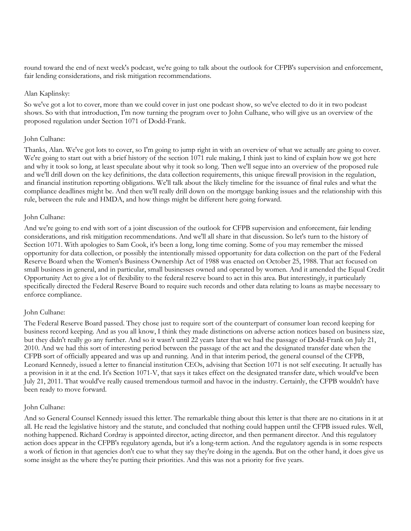round toward the end of next week's podcast, we're going to talk about the outlook for CFPB's supervision and enforcement, fair lending considerations, and risk mitigation recommendations.

#### Alan Kaplinsky:

So we've got a lot to cover, more than we could cover in just one podcast show, so we've elected to do it in two podcast shows. So with that introduction, I'm now turning the program over to John Culhane, who will give us an overview of the proposed regulation under Section 1071 of Dodd-Frank.

## John Culhane:

Thanks, Alan. We've got lots to cover, so I'm going to jump right in with an overview of what we actually are going to cover. We're going to start out with a brief history of the section 1071 rule making, I think just to kind of explain how we got here and why it took so long, at least speculate about why it took so long. Then we'll segue into an overview of the proposed rule and we'll drill down on the key definitions, the data collection requirements, this unique firewall provision in the regulation, and financial institution reporting obligations. We'll talk about the likely timeline for the issuance of final rules and what the compliance deadlines might be. And then we'll really drill down on the mortgage banking issues and the relationship with this rule, between the rule and HMDA, and how things might be different here going forward.

## John Culhane:

And we're going to end with sort of a joint discussion of the outlook for CFPB supervision and enforcement, fair lending considerations, and risk mitigation recommendations. And we'll all share in that discussion. So let's turn to the history of Section 1071. With apologies to Sam Cook, it's been a long, long time coming. Some of you may remember the missed opportunity for data collection, or possibly the intentionally missed opportunity for data collection on the part of the Federal Reserve Board when the Women's Business Ownership Act of 1988 was enacted on October 25, 1988. That act focused on small business in general, and in particular, small businesses owned and operated by women. And it amended the Equal Credit Opportunity Act to give a lot of flexibility to the federal reserve board to act in this area. But interestingly, it particularly specifically directed the Federal Reserve Board to require such records and other data relating to loans as maybe necessary to enforce compliance.

## John Culhane:

The Federal Reserve Board passed. They chose just to require sort of the counterpart of consumer loan record keeping for business record keeping. And as you all know, I think they made distinctions on adverse action notices based on business size, but they didn't really go any further. And so it wasn't until 22 years later that we had the passage of Dodd-Frank on July 21, 2010. And we had this sort of interesting period between the passage of the act and the designated transfer date when the CFPB sort of officially appeared and was up and running. And in that interim period, the general counsel of the CFPB, Leonard Kennedy, issued a letter to financial institution CEOs, advising that Section 1071 is not self executing. It actually has a provision in it at the end. It's Section 1071-V, that says it takes effect on the designated transfer date, which would've been July 21, 2011. That would've really caused tremendous turmoil and havoc in the industry. Certainly, the CFPB wouldn't have been ready to move forward.

#### John Culhane:

And so General Counsel Kennedy issued this letter. The remarkable thing about this letter is that there are no citations in it at all. He read the legislative history and the statute, and concluded that nothing could happen until the CFPB issued rules. Well, nothing happened. Richard Cordray is appointed director, acting director, and then permanent director. And this regulatory action does appear in the CFPB's regulatory agenda, but it's a long-term action. And the regulatory agenda is in some respects a work of fiction in that agencies don't cue to what they say they're doing in the agenda. But on the other hand, it does give us some insight as the where they're putting their priorities. And this was not a priority for five years.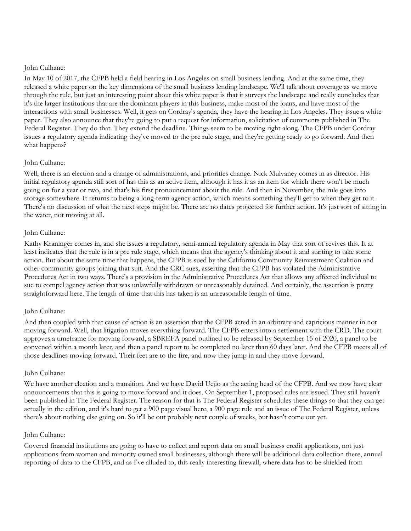## John Culhane:

In May 10 of 2017, the CFPB held a field hearing in Los Angeles on small business lending. And at the same time, they released a white paper on the key dimensions of the small business lending landscape. We'll talk about coverage as we move through the rule, but just an interesting point about this white paper is that it surveys the landscape and really concludes that it's the larger institutions that are the dominant players in this business, make most of the loans, and have most of the interactions with small businesses. Well, it gets on Cordray's agenda, they have the hearing in Los Angeles. They issue a white paper. They also announce that they're going to put a request for information, solicitation of comments published in The Federal Register. They do that. They extend the deadline. Things seem to be moving right along. The CFPB under Cordray issues a regulatory agenda indicating they've moved to the pre rule stage, and they're getting ready to go forward. And then what happens?

## John Culhane:

Well, there is an election and a change of administrations, and priorities change. Nick Mulvaney comes in as director. His initial regulatory agenda still sort of has this as an active item, although it has it as an item for which there won't be much going on for a year or two, and that's his first pronouncement about the rule. And then in November, the rule goes into storage somewhere. It returns to being a long-term agency action, which means something they'll get to when they get to it. There's no discussion of what the next steps might be. There are no dates projected for further action. It's just sort of sitting in the water, not moving at all.

## John Culhane:

Kathy Kraninger comes in, and she issues a regulatory, semi-annual regulatory agenda in May that sort of revives this. It at least indicates that the rule is in a pre rule stage, which means that the agency's thinking about it and starting to take some action. But about the same time that happens, the CFPB is sued by the California Community Reinvestment Coalition and other community groups joining that suit. And the CRC sues, asserting that the CFPB has violated the Administrative Procedures Act in two ways. There's a provision in the Administrative Procedures Act that allows any affected individual to sue to compel agency action that was unlawfully withdrawn or unreasonably detained. And certainly, the assertion is pretty straightforward here. The length of time that this has taken is an unreasonable length of time.

#### John Culhane:

And then coupled with that cause of action is an assertion that the CFPB acted in an arbitrary and capricious manner in not moving forward. Well, that litigation moves everything forward. The CFPB enters into a settlement with the CRD. The court approves a timeframe for moving forward, a SBREFA panel outlined to be released by September 15 of 2020, a panel to be convened within a month later, and then a panel report to be completed no later than 60 days later. And the CFPB meets all of those deadlines moving forward. Their feet are to the fire, and now they jump in and they move forward.

#### John Culhane:

We have another election and a transition. And we have David Uejio as the acting head of the CFPB. And we now have clear announcements that this is going to move forward and it does. On September 1, proposed rules are issued. They still haven't been published in The Federal Register. The reason for that is The Federal Register schedules these things so that they can get actually in the edition, and it's hard to get a 900 page visual here, a 900 page rule and an issue of The Federal Register, unless there's about nothing else going on. So it'll be out probably next couple of weeks, but hasn't come out yet.

#### John Culhane:

Covered financial institutions are going to have to collect and report data on small business credit applications, not just applications from women and minority owned small businesses, although there will be additional data collection there, annual reporting of data to the CFPB, and as I've alluded to, this really interesting firewall, where data has to be shielded from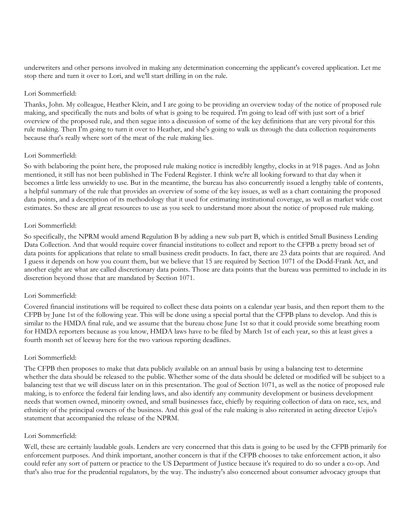underwriters and other persons involved in making any determination concerning the applicant's covered application. Let me stop there and turn it over to Lori, and we'll start drilling in on the rule.

## Lori Sommerfield:

Thanks, John. My colleague, Heather Klein, and I are going to be providing an overview today of the notice of proposed rule making, and specifically the nuts and bolts of what is going to be required. I'm going to lead off with just sort of a brief overview of the proposed rule, and then segue into a discussion of some of the key definitions that are very pivotal for this rule making. Then I'm going to turn it over to Heather, and she's going to walk us through the data collection requirements because that's really where sort of the meat of the rule making lies.

## Lori Sommerfield:

So with belaboring the point here, the proposed rule making notice is incredibly lengthy, clocks in at 918 pages. And as John mentioned, it still has not been published in The Federal Register. I think we're all looking forward to that day when it becomes a little less unwieldy to use. But in the meantime, the bureau has also concurrently issued a lengthy table of contents, a helpful summary of the rule that provides an overview of some of the key issues, as well as a chart containing the proposed data points, and a description of its methodology that it used for estimating institutional coverage, as well as market wide cost estimates. So these are all great resources to use as you seek to understand more about the notice of proposed rule making.

## Lori Sommerfield:

So specifically, the NPRM would amend Regulation B by adding a new sub part B, which is entitled Small Business Lending Data Collection. And that would require cover financial institutions to collect and report to the CFPB a pretty broad set of data points for applications that relate to small business credit products. In fact, there are 23 data points that are required. And I guess it depends on how you count them, but we believe that 15 are required by Section 1071 of the Dodd-Frank Act, and another eight are what are called discretionary data points. Those are data points that the bureau was permitted to include in its discretion beyond those that are mandated by Section 1071.

## Lori Sommerfield:

Covered financial institutions will be required to collect these data points on a calendar year basis, and then report them to the CFPB by June 1st of the following year. This will be done using a special portal that the CFPB plans to develop. And this is similar to the HMDA final rule, and we assume that the bureau chose June 1st so that it could provide some breathing room for HMDA reporters because as you know, HMDA laws have to be filed by March 1st of each year, so this at least gives a fourth month set of leeway here for the two various reporting deadlines.

## Lori Sommerfield:

The CFPB then proposes to make that data publicly available on an annual basis by using a balancing test to determine whether the data should be released to the public. Whether some of the data should be deleted or modified will be subject to a balancing test that we will discuss later on in this presentation. The goal of Section 1071, as well as the notice of proposed rule making, is to enforce the federal fair lending laws, and also identify any community development or business development needs that women owned, minority owned, and small businesses face, chiefly by requiring collection of data on race, sex, and ethnicity of the principal owners of the business. And this goal of the rule making is also reiterated in acting director Uejio's statement that accompanied the release of the NPRM.

## Lori Sommerfield:

Well, these are certainly laudable goals. Lenders are very concerned that this data is going to be used by the CFPB primarily for enforcement purposes. And think important, another concern is that if the CFPB chooses to take enforcement action, it also could refer any sort of pattern or practice to the US Department of Justice because it's required to do so under a co-op. And that's also true for the prudential regulators, by the way. The industry's also concerned about consumer advocacy groups that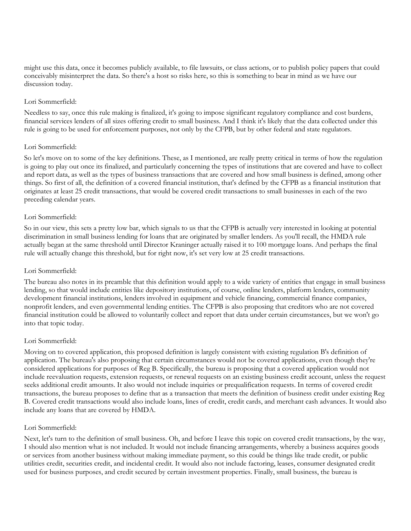might use this data, once it becomes publicly available, to file lawsuits, or class actions, or to publish policy papers that could conceivably misinterpret the data. So there's a host so risks here, so this is something to bear in mind as we have our discussion today.

## Lori Sommerfield:

Needless to say, once this rule making is finalized, it's going to impose significant regulatory compliance and cost burdens, financial services lenders of all sizes offering credit to small business. And I think it's likely that the data collected under this rule is going to be used for enforcement purposes, not only by the CFPB, but by other federal and state regulators.

## Lori Sommerfield:

So let's move on to some of the key definitions. These, as I mentioned, are really pretty critical in terms of how the regulation is going to play out once its finalized, and particularly concerning the types of institutions that are covered and have to collect and report data, as well as the types of business transactions that are covered and how small business is defined, among other things. So first of all, the definition of a covered financial institution, that's defined by the CFPB as a financial institution that originates at least 25 credit transactions, that would be covered credit transactions to small businesses in each of the two preceding calendar years.

## Lori Sommerfield:

So in our view, this sets a pretty low bar, which signals to us that the CFPB is actually very interested in looking at potential discrimination in small business lending for loans that are originated by smaller lenders. As you'll recall, the HMDA rule actually began at the same threshold until Director Kraninger actually raised it to 100 mortgage loans. And perhaps the final rule will actually change this threshold, but for right now, it's set very low at 25 credit transactions.

## Lori Sommerfield:

The bureau also notes in its preamble that this definition would apply to a wide variety of entities that engage in small business lending, so that would include entities like depository institutions, of course, online lenders, platform lenders, community development financial institutions, lenders involved in equipment and vehicle financing, commercial finance companies, nonprofit lenders, and even governmental lending entities. The CFPB is also proposing that creditors who are not covered financial institution could be allowed to voluntarily collect and report that data under certain circumstances, but we won't go into that topic today.

#### Lori Sommerfield:

Moving on to covered application, this proposed definition is largely consistent with existing regulation B's definition of application. The bureau's also proposing that certain circumstances would not be covered applications, even though they're considered applications for purposes of Reg B. Specifically, the bureau is proposing that a covered application would not include reevaluation requests, extension requests, or renewal requests on an existing business credit account, unless the request seeks additional credit amounts. It also would not include inquiries or prequalification requests. In terms of covered credit transactions, the bureau proposes to define that as a transaction that meets the definition of business credit under existing Reg B. Covered credit transactions would also include loans, lines of credit, credit cards, and merchant cash advances. It would also include any loans that are covered by HMDA.

#### Lori Sommerfield:

Next, let's turn to the definition of small business. Oh, and before I leave this topic on covered credit transactions, by the way, I should also mention what is not included. It would not include financing arrangements, whereby a business acquires goods or services from another business without making immediate payment, so this could be things like trade credit, or public utilities credit, securities credit, and incidental credit. It would also not include factoring, leases, consumer designated credit used for business purposes, and credit secured by certain investment properties. Finally, small business, the bureau is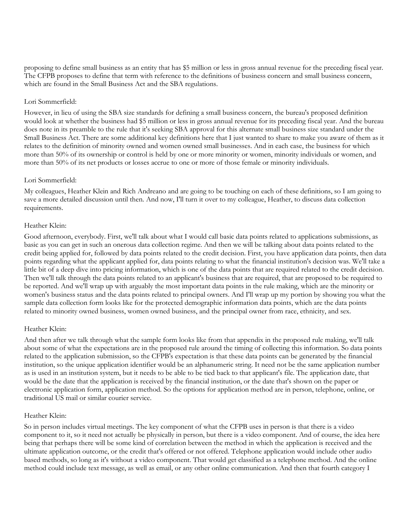proposing to define small business as an entity that has \$5 million or less in gross annual revenue for the preceding fiscal year. The CFPB proposes to define that term with reference to the definitions of business concern and small business concern, which are found in the Small Business Act and the SBA regulations.

## Lori Sommerfield:

However, in lieu of using the SBA size standards for defining a small business concern, the bureau's proposed definition would look at whether the business had \$5 million or less in gross annual revenue for its preceding fiscal year. And the bureau does note in its preamble to the rule that it's seeking SBA approval for this alternate small business size standard under the Small Business Act. There are some additional key definitions here that I just wanted to share to make you aware of them as it relates to the definition of minority owned and women owned small businesses. And in each case, the business for which more than 50% of its ownership or control is held by one or more minority or women, minority individuals or women, and more than 50% of its net products or losses accrue to one or more of those female or minority individuals.

## Lori Sommerfield:

My colleagues, Heather Klein and Rich Andreano and are going to be touching on each of these definitions, so I am going to save a more detailed discussion until then. And now, I'll turn it over to my colleague, Heather, to discuss data collection requirements.

## Heather Klein:

Good afternoon, everybody. First, we'll talk about what I would call basic data points related to applications submissions, as basic as you can get in such an onerous data collection regime. And then we will be talking about data points related to the credit being applied for, followed by data points related to the credit decision. First, you have application data points, then data points regarding what the applicant applied for, data points relating to what the financial institution's decision was. We'll take a little bit of a deep dive into pricing information, which is one of the data points that are required related to the credit decision. Then we'll talk through the data points related to an applicant's business that are required, that are proposed to be required to be reported. And we'll wrap up with arguably the most important data points in the rule making, which are the minority or women's business status and the data points related to principal owners. And I'll wrap up my portion by showing you what the sample data collection form looks like for the protected demographic information data points, which are the data points related to minority owned business, women owned business, and the principal owner from race, ethnicity, and sex.

## Heather Klein:

And then after we talk through what the sample form looks like from that appendix in the proposed rule making, we'll talk about some of what the expectations are in the proposed rule around the timing of collecting this information. So data points related to the application submission, so the CFPB's expectation is that these data points can be generated by the financial institution, so the unique application identifier would be an alphanumeric string. It need not be the same application number as is used in an institution system, but it needs to be able to be tied back to that applicant's file. The application date, that would be the date that the application is received by the financial institution, or the date that's shown on the paper or electronic application form, application method. So the options for application method are in person, telephone, online, or traditional US mail or similar courier service.

## Heather Klein:

So in person includes virtual meetings. The key component of what the CFPB uses in person is that there is a video component to it, so it need not actually be physically in person, but there is a video component. And of course, the idea here being that perhaps there will be some kind of correlation between the method in which the application is received and the ultimate application outcome, or the credit that's offered or not offered. Telephone application would include other audio based methods, so long as it's without a video component. That would get classified as a telephone method. And the online method could include text message, as well as email, or any other online communication. And then that fourth category I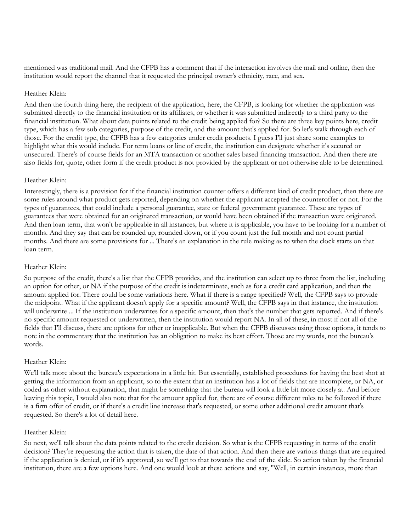mentioned was traditional mail. And the CFPB has a comment that if the interaction involves the mail and online, then the institution would report the channel that it requested the principal owner's ethnicity, race, and sex.

#### Heather Klein:

And then the fourth thing here, the recipient of the application, here, the CFPB, is looking for whether the application was submitted directly to the financial institution or its affiliates, or whether it was submitted indirectly to a third party to the financial institution. What about data points related to the credit being applied for? So there are three key points here, credit type, which has a few sub categories, purpose of the credit, and the amount that's applied for. So let's walk through each of those. For the credit type, the CFPB has a few categories under credit products. I guess I'll just share some examples to highlight what this would include. For term loans or line of credit, the institution can designate whether it's secured or unsecured. There's of course fields for an MTA transaction or another sales based financing transaction. And then there are also fields for, quote, other form if the credit product is not provided by the applicant or not otherwise able to be determined.

## Heather Klein:

Interestingly, there is a provision for if the financial institution counter offers a different kind of credit product, then there are some rules around what product gets reported, depending on whether the applicant accepted the counteroffer or not. For the types of guarantees, that could include a personal guarantee, state or federal government guarantee. These are types of guarantees that were obtained for an originated transaction, or would have been obtained if the transaction were originated. And then loan term, that won't be applicable in all instances, but where it is applicable, you have to be looking for a number of months. And they say that can be rounded up, rounded down, or if you count just the full month and not count partial months. And there are some provisions for ... There's an explanation in the rule making as to when the clock starts on that loan term.

## Heather Klein:

So purpose of the credit, there's a list that the CFPB provides, and the institution can select up to three from the list, including an option for other, or NA if the purpose of the credit is indeterminate, such as for a credit card application, and then the amount applied for. There could be some variations here. What if there is a range specified? Well, the CFPB says to provide the midpoint. What if the applicant doesn't apply for a specific amount? Well, the CFPB says in that instance, the institution will underwrite ... If the institution underwrites for a specific amount, then that's the number that gets reported. And if there's no specific amount requested or underwritten, then the institution would report NA. In all of these, in most if not all of the fields that I'll discuss, there are options for other or inapplicable. But when the CFPB discusses using those options, it tends to note in the commentary that the institution has an obligation to make its best effort. Those are my words, not the bureau's words.

## Heather Klein:

We'll talk more about the bureau's expectations in a little bit. But essentially, established procedures for having the best shot at getting the information from an applicant, so to the extent that an institution has a lot of fields that are incomplete, or NA, or coded as other without explanation, that might be something that the bureau will look a little bit more closely at. And before leaving this topic, I would also note that for the amount applied for, there are of course different rules to be followed if there is a firm offer of credit, or if there's a credit line increase that's requested, or some other additional credit amount that's requested. So there's a lot of detail here.

## Heather Klein:

So next, we'll talk about the data points related to the credit decision. So what is the CFPB requesting in terms of the credit decision? They're requesting the action that is taken, the date of that action. And then there are various things that are required if the application is denied, or if it's approved, so we'll get to that towards the end of the slide. So action taken by the financial institution, there are a few options here. And one would look at these actions and say, "Well, in certain instances, more than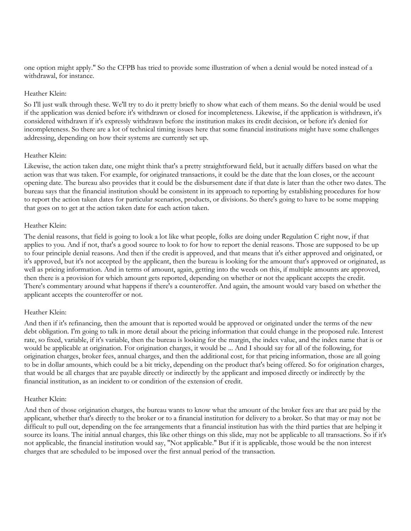one option might apply." So the CFPB has tried to provide some illustration of when a denial would be noted instead of a withdrawal, for instance.

#### Heather Klein:

So I'll just walk through these. We'll try to do it pretty briefly to show what each of them means. So the denial would be used if the application was denied before it's withdrawn or closed for incompleteness. Likewise, if the application is withdrawn, it's considered withdrawn if it's expressly withdrawn before the institution makes its credit decision, or before it's denied for incompleteness. So there are a lot of technical timing issues here that some financial institutions might have some challenges addressing, depending on how their systems are currently set up.

## Heather Klein:

Likewise, the action taken date, one might think that's a pretty straightforward field, but it actually differs based on what the action was that was taken. For example, for originated transactions, it could be the date that the loan closes, or the account opening date. The bureau also provides that it could be the disbursement date if that date is later than the other two dates. The bureau says that the financial institution should be consistent in its approach to reporting by establishing procedures for how to report the action taken dates for particular scenarios, products, or divisions. So there's going to have to be some mapping that goes on to get at the action taken date for each action taken.

## Heather Klein:

The denial reasons, that field is going to look a lot like what people, folks are doing under Regulation C right now, if that applies to you. And if not, that's a good source to look to for how to report the denial reasons. Those are supposed to be up to four principle denial reasons. And then if the credit is approved, and that means that it's either approved and originated, or it's approved, but it's not accepted by the applicant, then the bureau is looking for the amount that's approved or originated, as well as pricing information. And in terms of amount, again, getting into the weeds on this, if multiple amounts are approved, then there is a provision for which amount gets reported, depending on whether or not the applicant accepts the credit. There's commentary around what happens if there's a counteroffer. And again, the amount would vary based on whether the applicant accepts the counteroffer or not.

## Heather Klein:

And then if it's refinancing, then the amount that is reported would be approved or originated under the terms of the new debt obligation. I'm going to talk in more detail about the pricing information that could change in the proposed rule. Interest rate, so fixed, variable, if it's variable, then the bureau is looking for the margin, the index value, and the index name that is or would be applicable at origination. For origination charges, it would be ... And I should say for all of the following, for origination charges, broker fees, annual charges, and then the additional cost, for that pricing information, those are all going to be in dollar amounts, which could be a bit tricky, depending on the product that's being offered. So for origination charges, that would be all charges that are payable directly or indirectly by the applicant and imposed directly or indirectly by the financial institution, as an incident to or condition of the extension of credit.

#### Heather Klein:

And then of those origination charges, the bureau wants to know what the amount of the broker fees are that are paid by the applicant, whether that's directly to the broker or to a financial institution for delivery to a broker. So that may or may not be difficult to pull out, depending on the fee arrangements that a financial institution has with the third parties that are helping it source its loans. The initial annual charges, this like other things on this slide, may not be applicable to all transactions. So if it's not applicable, the financial institution would say, "Not applicable." But if it is applicable, those would be the non interest charges that are scheduled to be imposed over the first annual period of the transaction.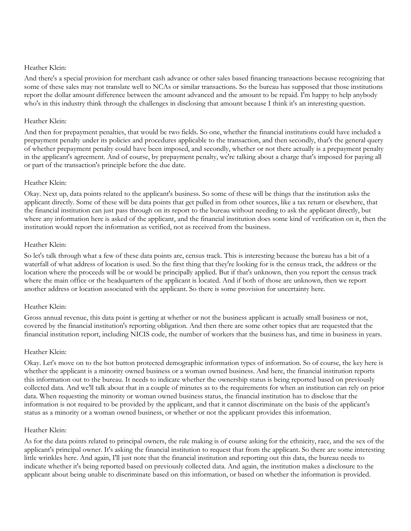#### Heather Klein:

And there's a special provision for merchant cash advance or other sales based financing transactions because recognizing that some of these sales may not translate well to NCAs or similar transactions. So the bureau has supposed that those institutions report the dollar amount difference between the amount advanced and the amount to be repaid. I'm happy to help anybody who's in this industry think through the challenges in disclosing that amount because I think it's an interesting question.

## Heather Klein:

And then for prepayment penalties, that would be two fields. So one, whether the financial institutions could have included a prepayment penalty under its policies and procedures applicable to the transaction, and then secondly, that's the general query of whether prepayment penalty could have been imposed, and secondly, whether or not there actually is a prepayment penalty in the applicant's agreement. And of course, by prepayment penalty, we're talking about a charge that's imposed for paying all or part of the transaction's principle before the due date.

## Heather Klein:

Okay. Next up, data points related to the applicant's business. So some of these will be things that the institution asks the applicant directly. Some of these will be data points that get pulled in from other sources, like a tax return or elsewhere, that the financial institution can just pass through on its report to the bureau without needing to ask the applicant directly, but where any information here is asked of the applicant, and the financial institution does some kind of verification on it, then the institution would report the information as verified, not as received from the business.

## Heather Klein:

So let's talk through what a few of these data points are, census track. This is interesting because the bureau has a bit of a waterfall of what address of location is used. So the first thing that they're looking for is the census track, the address or the location where the proceeds will be or would be principally applied. But if that's unknown, then you report the census track where the main office or the headquarters of the applicant is located. And if both of those are unknown, then we report another address or location associated with the applicant. So there is some provision for uncertainty here.

## Heather Klein:

Gross annual revenue, this data point is getting at whether or not the business applicant is actually small business or not, covered by the financial institution's reporting obligation. And then there are some other topics that are requested that the financial institution report, including NICIS code, the number of workers that the business has, and time in business in years.

#### Heather Klein:

Okay. Let's move on to the hot button protected demographic information types of information. So of course, the key here is whether the applicant is a minority owned business or a woman owned business. And here, the financial institution reports this information out to the bureau. It needs to indicate whether the ownership status is being reported based on previously collected data. And we'll talk about that in a couple of minutes as to the requirements for when an institution can rely on prior data. When requesting the minority or woman owned business status, the financial institution has to disclose that the information is not required to be provided by the applicant, and that it cannot discriminate on the basis of the applicant's status as a minority or a woman owned business, or whether or not the applicant provides this information.

#### Heather Klein:

As for the data points related to principal owners, the rule making is of course asking for the ethnicity, race, and the sex of the applicant's principal owner. It's asking the financial institution to request that from the applicant. So there are some interesting little wrinkles here. And again, I'll just note that the financial institution and reporting out this data, the bureau needs to indicate whether it's being reported based on previously collected data. And again, the institution makes a disclosure to the applicant about being unable to discriminate based on this information, or based on whether the information is provided.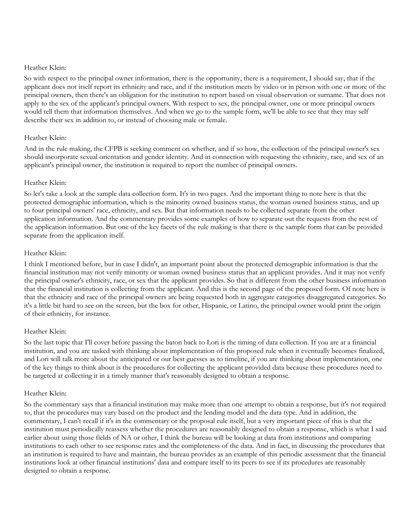## Heather Klein:

So with respect to the principal owner information, there is the opportunity, there is a requirement, I should say, that if the applicant does not itself report its ethnicity and race, and if the institution meets by video or in person with one or more of the principal owners, then there's an obligation for the institution to report based on visual observation or surname. That does not apply to the sex of the applicant's principal owners. With respect to sex, the principal owner, one or more principal owners would tell them that information themselves. And when we go to the sample form, we'll be able to see that they may self describe their sex in addition to, or instead of choosing male or female.

## Heather Klein:

And in the rule making, the CFPB is seeking comment on whether, and if so how, the collection of the principal owner's sex should incorporate sexual orientation and gender identity. And in connection with requesting the ethnicity, race, and sex of an applicant's principal owner, the institution is required to report the number of principal owners.

## Heather Klein:

So let's take a look at the sample data collection form. It's in two pages. And the important thing to note here is that the protected demographic information, which is the minority owned business status, the woman owned business status, and up to four principal owners' race, ethnicity, and sex. But that information needs to be collected separate from the other application information. And the commentary provides some examples of how to separate out the requests from the rest of the application information. But one of the key facets of the rule making is that there is the sample form that can be provided separate from the application itself.

## Heather Klein:

I think I mentioned before, but in case I didn't, an important point about the protected demographic information is that the financial institution may not verify minority or woman owned business status that an applicant provides. And it may not verify the principal owner's ethnicity, race, or sex that the applicant provides. So that is different from the other business information that the financial institution is collecting from the applicant. And this is the second page of the proposed form. Of note here is that the ethnicity and race of the principal owners are being requested both in aggregate categories disaggregated categories. So it's a little bit hard to see on the screen, but the box for other, Hispanic, or Latino, the principal owner would print the origin of their ethnicity, for instance.

## Heather Klein:

So the last topic that I'll cover before passing the baton back to Lori is the timing of data collection. If you are at a financial institution, and you are tasked with thinking about implementation of this proposed rule when it eventually becomes finalized, and Lori will talk more about the anticipated or our best guesses as to timeline, if you are thinking about implementation, one of the key things to think about is the procedures for collecting the applicant provided data because these procedures need to be targeted at collecting it in a timely manner that's reasonably designed to obtain a response.

## Heather Klein:

So the commentary says that a financial institution may make more than one attempt to obtain a response, but it's not required to, that the procedures may vary based on the product and the lending model and the data type. And in addition, the commentary, I can't recall if it's in the commentary or the proposal rule itself, but a very important piece of this is that the institution must periodically reassess whether the procedures are reasonably designed to obtain a response, which is what I said earlier about using those fields of NA or other, I think the bureau will be looking at data from institutions and comparing institutions to each other to see response rates and the completeness of the data. And in fact, in discussing the procedures that an institution is required to have and maintain, the bureau provides as an example of this periodic assessment that the financial institutions look at other financial institutions' data and compare itself to its peers to see if its procedures are reasonably designed to obtain a response.